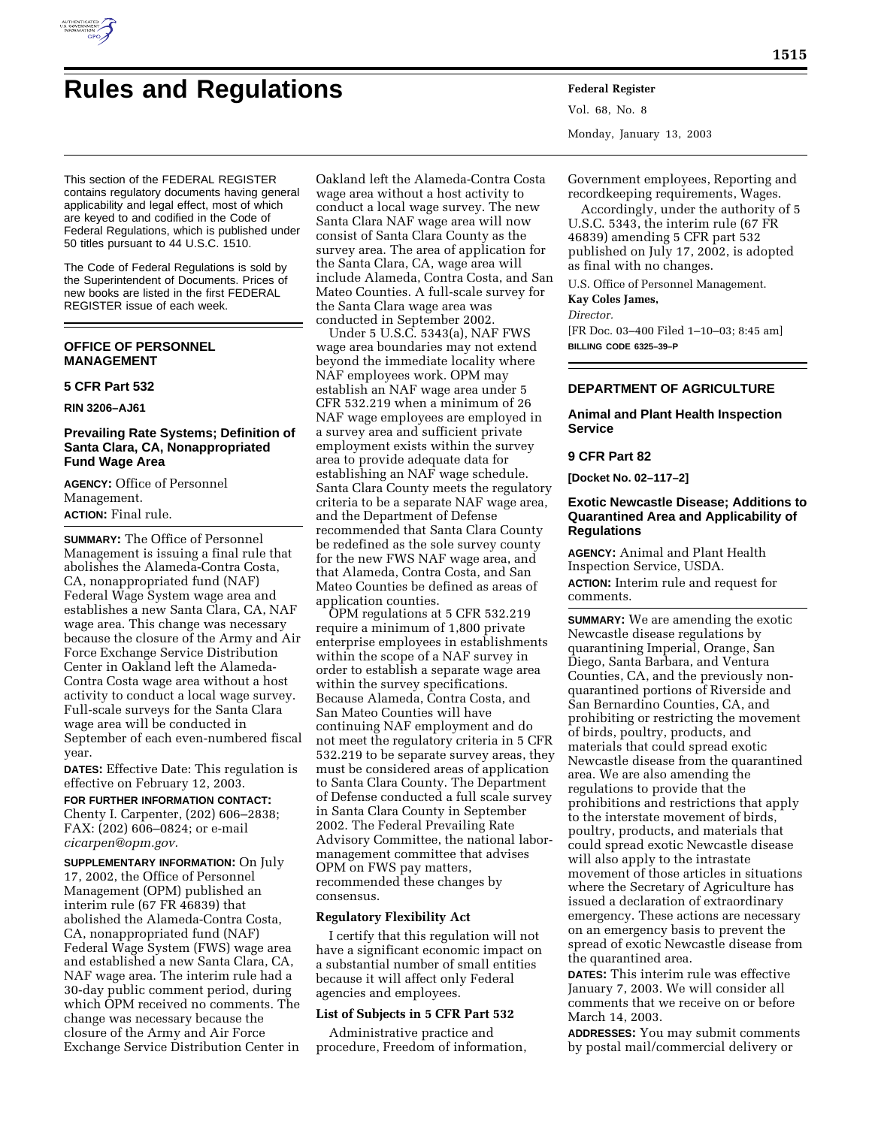

# **Rules and Regulations Federal Register**

This section of the FEDERAL REGISTER contains regulatory documents having general applicability and legal effect, most of which are keyed to and codified in the Code of Federal Regulations, which is published under 50 titles pursuant to 44 U.S.C. 1510.

The Code of Federal Regulations is sold by the Superintendent of Documents. Prices of new books are listed in the first FEDERAL REGISTER issue of each week.

# **OFFICE OF PERSONNEL MANAGEMENT**

# **5 CFR Part 532**

**RIN 3206–AJ61** 

# **Prevailing Rate Systems; Definition of Santa Clara, CA, Nonappropriated Fund Wage Area**

**AGENCY:** Office of Personnel Management. **ACTION:** Final rule.

**SUMMARY:** The Office of Personnel Management is issuing a final rule that abolishes the Alameda-Contra Costa, CA, nonappropriated fund (NAF) Federal Wage System wage area and establishes a new Santa Clara, CA, NAF wage area. This change was necessary because the closure of the Army and Air Force Exchange Service Distribution Center in Oakland left the Alameda-Contra Costa wage area without a host activity to conduct a local wage survey. Full-scale surveys for the Santa Clara wage area will be conducted in September of each even-numbered fiscal year.

**DATES:** Effective Date: This regulation is effective on February 12, 2003.

**FOR FURTHER INFORMATION CONTACT:** Chenty I. Carpenter, (202) 606–2838; FAX: (202) 606–0824; or e-mail *cicarpen@opm.gov.*

**SUPPLEMENTARY INFORMATION:** On July 17, 2002, the Office of Personnel Management (OPM) published an interim rule (67 FR 46839) that abolished the Alameda-Contra Costa, CA, nonappropriated fund (NAF) Federal Wage System (FWS) wage area and established a new Santa Clara, CA, NAF wage area. The interim rule had a 30-day public comment period, during which OPM received no comments. The change was necessary because the closure of the Army and Air Force Exchange Service Distribution Center in

Oakland left the Alameda-Contra Costa wage area without a host activity to conduct a local wage survey. The new Santa Clara NAF wage area will now consist of Santa Clara County as the survey area. The area of application for the Santa Clara, CA, wage area will include Alameda, Contra Costa, and San Mateo Counties. A full-scale survey for the Santa Clara wage area was conducted in September 2002.

Under 5 U.S.C. 5343(a), NAF FWS wage area boundaries may not extend beyond the immediate locality where NAF employees work. OPM may establish an NAF wage area under 5 CFR 532.219 when a minimum of 26 NAF wage employees are employed in a survey area and sufficient private employment exists within the survey area to provide adequate data for establishing an NAF wage schedule. Santa Clara County meets the regulatory criteria to be a separate NAF wage area, and the Department of Defense recommended that Santa Clara County be redefined as the sole survey county for the new FWS NAF wage area, and that Alameda, Contra Costa, and San Mateo Counties be defined as areas of application counties.

OPM regulations at 5 CFR 532.219 require a minimum of 1,800 private enterprise employees in establishments within the scope of a NAF survey in order to establish a separate wage area within the survey specifications. Because Alameda, Contra Costa, and San Mateo Counties will have continuing NAF employment and do not meet the regulatory criteria in 5 CFR 532.219 to be separate survey areas, they must be considered areas of application to Santa Clara County. The Department of Defense conducted a full scale survey in Santa Clara County in September 2002. The Federal Prevailing Rate Advisory Committee, the national labormanagement committee that advises OPM on FWS pay matters, recommended these changes by consensus.

## **Regulatory Flexibility Act**

I certify that this regulation will not have a significant economic impact on a substantial number of small entities because it will affect only Federal agencies and employees.

## **List of Subjects in 5 CFR Part 532**

Administrative practice and procedure, Freedom of information, Vol. 68, No. 8 Monday, January 13, 2003

Government employees, Reporting and recordkeeping requirements, Wages.

Accordingly, under the authority of 5 U.S.C. 5343, the interim rule (67 FR 46839) amending 5 CFR part 532 published on July 17, 2002, is adopted as final with no changes.

U.S. Office of Personnel Management.

**Kay Coles James,** 

*Director.*

[FR Doc. 03–400 Filed 1–10–03; 8:45 am] **BILLING CODE 6325–39–P**

# **DEPARTMENT OF AGRICULTURE**

**Animal and Plant Health Inspection Service** 

### **9 CFR Part 82**

**[Docket No. 02–117–2]** 

## **Exotic Newcastle Disease; Additions to Quarantined Area and Applicability of Regulations**

**AGENCY:** Animal and Plant Health Inspection Service, USDA. **ACTION:** Interim rule and request for comments.

**SUMMARY:** We are amending the exotic Newcastle disease regulations by quarantining Imperial, Orange, San Diego, Santa Barbara, and Ventura Counties, CA, and the previously nonquarantined portions of Riverside and San Bernardino Counties, CA, and prohibiting or restricting the movement of birds, poultry, products, and materials that could spread exotic Newcastle disease from the quarantined area. We are also amending the regulations to provide that the prohibitions and restrictions that apply to the interstate movement of birds, poultry, products, and materials that could spread exotic Newcastle disease will also apply to the intrastate movement of those articles in situations where the Secretary of Agriculture has issued a declaration of extraordinary emergency. These actions are necessary on an emergency basis to prevent the spread of exotic Newcastle disease from the quarantined area.

**DATES:** This interim rule was effective January 7, 2003. We will consider all comments that we receive on or before March 14, 2003.

**ADDRESSES:** You may submit comments by postal mail/commercial delivery or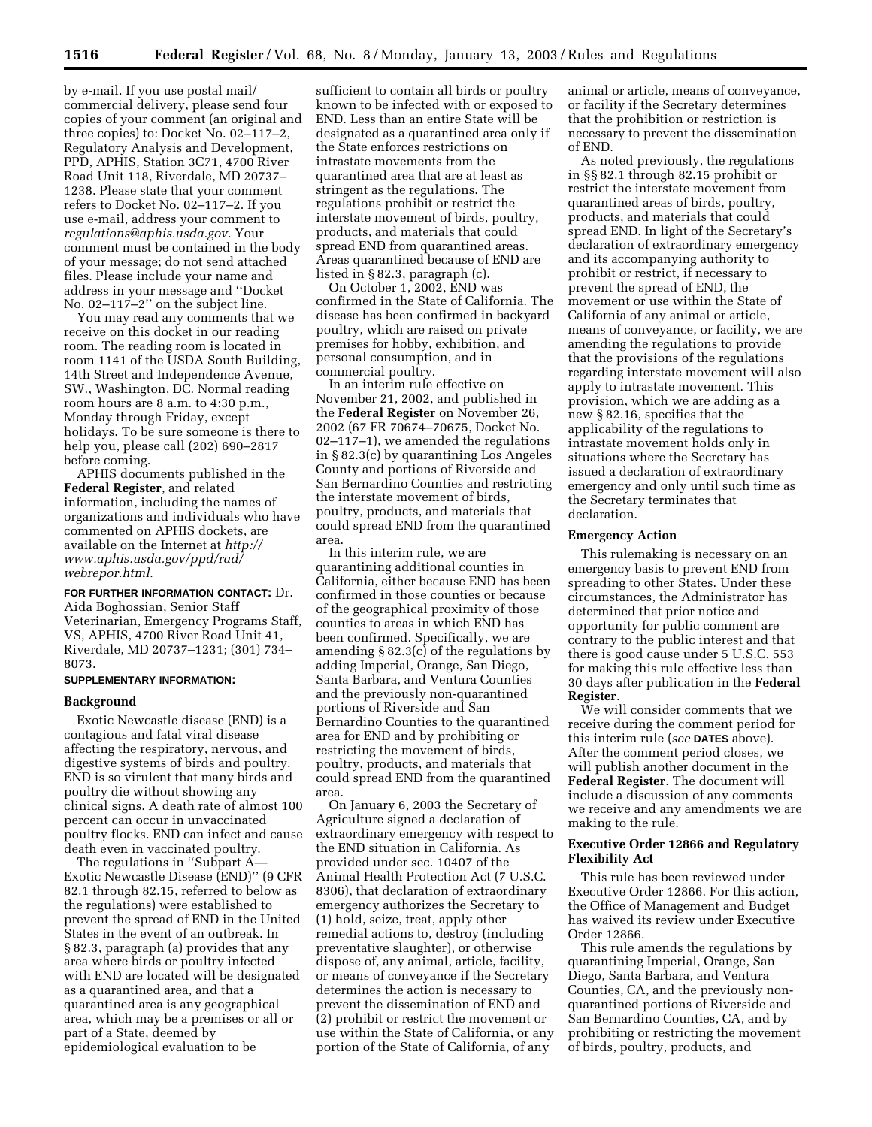by e-mail. If you use postal mail/ commercial delivery, please send four copies of your comment (an original and three copies) to: Docket No. 02–117–2, Regulatory Analysis and Development, PPD, APHIS, Station 3C71, 4700 River Road Unit 118, Riverdale, MD 20737– 1238. Please state that your comment refers to Docket No. 02–117–2. If you use e-mail, address your comment to *regulations@aphis.usda.gov.* Your comment must be contained in the body of your message; do not send attached files. Please include your name and address in your message and ''Docket No. 02–117–2'' on the subject line.

You may read any comments that we receive on this docket in our reading room. The reading room is located in room 1141 of the USDA South Building, 14th Street and Independence Avenue, SW., Washington, DC. Normal reading room hours are 8 a.m. to 4:30 p.m., Monday through Friday, except holidays. To be sure someone is there to help you, please call (202) 690–2817 before coming.

APHIS documents published in the **Federal Register**, and related information, including the names of organizations and individuals who have commented on APHIS dockets, are available on the Internet at *http:// www.aphis.usda.gov/ppd/rad/ webrepor.html.*

**FOR FURTHER INFORMATION CONTACT:** Dr. Aida Boghossian, Senior Staff Veterinarian, Emergency Programs Staff, VS, APHIS, 4700 River Road Unit 41, Riverdale, MD 20737–1231; (301) 734– 8073.

### **SUPPLEMENTARY INFORMATION:**

## **Background**

Exotic Newcastle disease (END) is a contagious and fatal viral disease affecting the respiratory, nervous, and digestive systems of birds and poultry. END is so virulent that many birds and poultry die without showing any clinical signs. A death rate of almost 100 percent can occur in unvaccinated poultry flocks. END can infect and cause death even in vaccinated poultry.

The regulations in ''Subpart A— Exotic Newcastle Disease (END)'' (9 CFR 82.1 through 82.15, referred to below as the regulations) were established to prevent the spread of END in the United States in the event of an outbreak. In § 82.3, paragraph (a) provides that any area where birds or poultry infected with END are located will be designated as a quarantined area, and that a quarantined area is any geographical area, which may be a premises or all or part of a State, deemed by epidemiological evaluation to be

sufficient to contain all birds or poultry known to be infected with or exposed to END. Less than an entire State will be designated as a quarantined area only if the State enforces restrictions on intrastate movements from the quarantined area that are at least as stringent as the regulations. The regulations prohibit or restrict the interstate movement of birds, poultry, products, and materials that could spread END from quarantined areas. Areas quarantined because of END are listed in § 82.3, paragraph (c).

On October 1, 2002, END was confirmed in the State of California. The disease has been confirmed in backyard poultry, which are raised on private premises for hobby, exhibition, and personal consumption, and in commercial poultry.

In an interim rule effective on November 21, 2002, and published in the **Federal Register** on November 26, 2002 (67 FR 70674–70675, Docket No. 02–117–1), we amended the regulations in § 82.3(c) by quarantining Los Angeles County and portions of Riverside and San Bernardino Counties and restricting the interstate movement of birds, poultry, products, and materials that could spread END from the quarantined area.

In this interim rule, we are quarantining additional counties in California, either because END has been confirmed in those counties or because of the geographical proximity of those counties to areas in which END has been confirmed. Specifically, we are amending § 82.3(c) of the regulations by adding Imperial, Orange, San Diego, Santa Barbara, and Ventura Counties and the previously non-quarantined portions of Riverside and San Bernardino Counties to the quarantined area for END and by prohibiting or restricting the movement of birds, poultry, products, and materials that could spread END from the quarantined area.

On January 6, 2003 the Secretary of Agriculture signed a declaration of extraordinary emergency with respect to the END situation in California. As provided under sec. 10407 of the Animal Health Protection Act (7 U.S.C. 8306), that declaration of extraordinary emergency authorizes the Secretary to (1) hold, seize, treat, apply other remedial actions to, destroy (including preventative slaughter), or otherwise dispose of, any animal, article, facility, or means of conveyance if the Secretary determines the action is necessary to prevent the dissemination of END and (2) prohibit or restrict the movement or use within the State of California, or any portion of the State of California, of any

animal or article, means of conveyance, or facility if the Secretary determines that the prohibition or restriction is necessary to prevent the dissemination of END.

As noted previously, the regulations in §§ 82.1 through 82.15 prohibit or restrict the interstate movement from quarantined areas of birds, poultry, products, and materials that could spread END. In light of the Secretary's declaration of extraordinary emergency and its accompanying authority to prohibit or restrict, if necessary to prevent the spread of END, the movement or use within the State of California of any animal or article, means of conveyance, or facility, we are amending the regulations to provide that the provisions of the regulations regarding interstate movement will also apply to intrastate movement. This provision, which we are adding as a new § 82.16, specifies that the applicability of the regulations to intrastate movement holds only in situations where the Secretary has issued a declaration of extraordinary emergency and only until such time as the Secretary terminates that declaration.

#### **Emergency Action**

This rulemaking is necessary on an emergency basis to prevent END from spreading to other States. Under these circumstances, the Administrator has determined that prior notice and opportunity for public comment are contrary to the public interest and that there is good cause under 5 U.S.C. 553 for making this rule effective less than 30 days after publication in the **Federal Register**.

We will consider comments that we receive during the comment period for this interim rule (*see* **DATES** above). After the comment period closes, we will publish another document in the **Federal Register**. The document will include a discussion of any comments we receive and any amendments we are making to the rule.

## **Executive Order 12866 and Regulatory Flexibility Act**

This rule has been reviewed under Executive Order 12866. For this action, the Office of Management and Budget has waived its review under Executive Order 12866.

This rule amends the regulations by quarantining Imperial, Orange, San Diego, Santa Barbara, and Ventura Counties, CA, and the previously nonquarantined portions of Riverside and San Bernardino Counties, CA, and by prohibiting or restricting the movement of birds, poultry, products, and